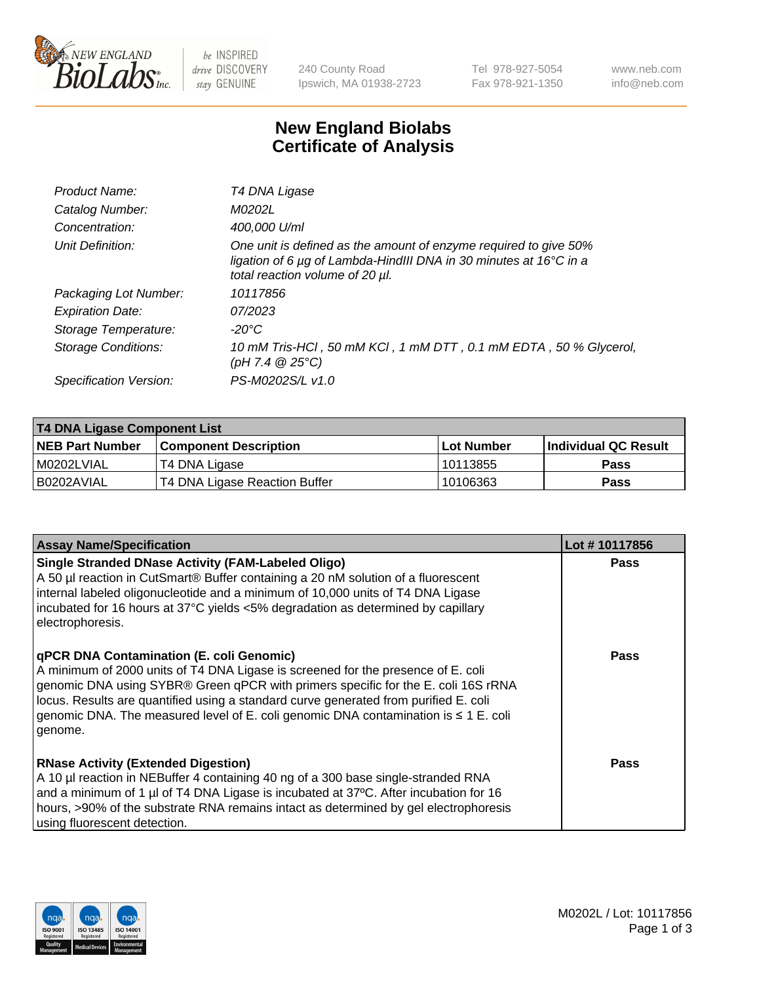

 $be$  INSPIRED drive DISCOVERY stay GENUINE

240 County Road Ipswich, MA 01938-2723 Tel 978-927-5054 Fax 978-921-1350 www.neb.com info@neb.com

## **New England Biolabs Certificate of Analysis**

| Product Name:              | T4 DNA Ligase                                                                                                                                                            |
|----------------------------|--------------------------------------------------------------------------------------------------------------------------------------------------------------------------|
| Catalog Number:            | M0202L                                                                                                                                                                   |
| Concentration:             | 400,000 U/ml                                                                                                                                                             |
| Unit Definition:           | One unit is defined as the amount of enzyme required to give 50%<br>ligation of 6 µg of Lambda-HindIII DNA in 30 minutes at 16°C in a<br>total reaction volume of 20 µl. |
| Packaging Lot Number:      | 10117856                                                                                                                                                                 |
| <b>Expiration Date:</b>    | 07/2023                                                                                                                                                                  |
| Storage Temperature:       | -20°C                                                                                                                                                                    |
| <b>Storage Conditions:</b> | 10 mM Tris-HCl, 50 mM KCl, 1 mM DTT, 0.1 mM EDTA, 50 % Glycerol,<br>(pH 7.4 $@25°C$ )                                                                                    |
| Specification Version:     | PS-M0202S/L v1.0                                                                                                                                                         |

| T4 DNA Ligase Component List |                               |              |                             |  |  |
|------------------------------|-------------------------------|--------------|-----------------------------|--|--|
| <b>NEB Part Number</b>       | <b>Component Description</b>  | l Lot Number | <b>Individual QC Result</b> |  |  |
| M0202LVIAL                   | T4 DNA Ligase                 | 10113855     | <b>Pass</b>                 |  |  |
| I B0202AVIAL                 | T4 DNA Ligase Reaction Buffer | 10106363     | <b>Pass</b>                 |  |  |

| <b>Assay Name/Specification</b>                                                                                                                                                                                                                                                                                                                                                                             | Lot #10117856 |
|-------------------------------------------------------------------------------------------------------------------------------------------------------------------------------------------------------------------------------------------------------------------------------------------------------------------------------------------------------------------------------------------------------------|---------------|
| <b>Single Stranded DNase Activity (FAM-Labeled Oligo)</b><br>A 50 µl reaction in CutSmart® Buffer containing a 20 nM solution of a fluorescent<br>internal labeled oligonucleotide and a minimum of 10,000 units of T4 DNA Ligase<br>incubated for 16 hours at 37°C yields <5% degradation as determined by capillary<br>electrophoresis.                                                                   | <b>Pass</b>   |
| qPCR DNA Contamination (E. coli Genomic)<br>A minimum of 2000 units of T4 DNA Ligase is screened for the presence of E. coli<br>genomic DNA using SYBR® Green qPCR with primers specific for the E. coli 16S rRNA<br>locus. Results are quantified using a standard curve generated from purified E. coli<br>genomic DNA. The measured level of E. coli genomic DNA contamination is ≤ 1 E. coli<br>genome. | <b>Pass</b>   |
| <b>RNase Activity (Extended Digestion)</b><br>A 10 µl reaction in NEBuffer 4 containing 40 ng of a 300 base single-stranded RNA<br>and a minimum of 1 µl of T4 DNA Ligase is incubated at 37°C. After incubation for 16<br>hours, >90% of the substrate RNA remains intact as determined by gel electrophoresis<br>using fluorescent detection.                                                             | <b>Pass</b>   |

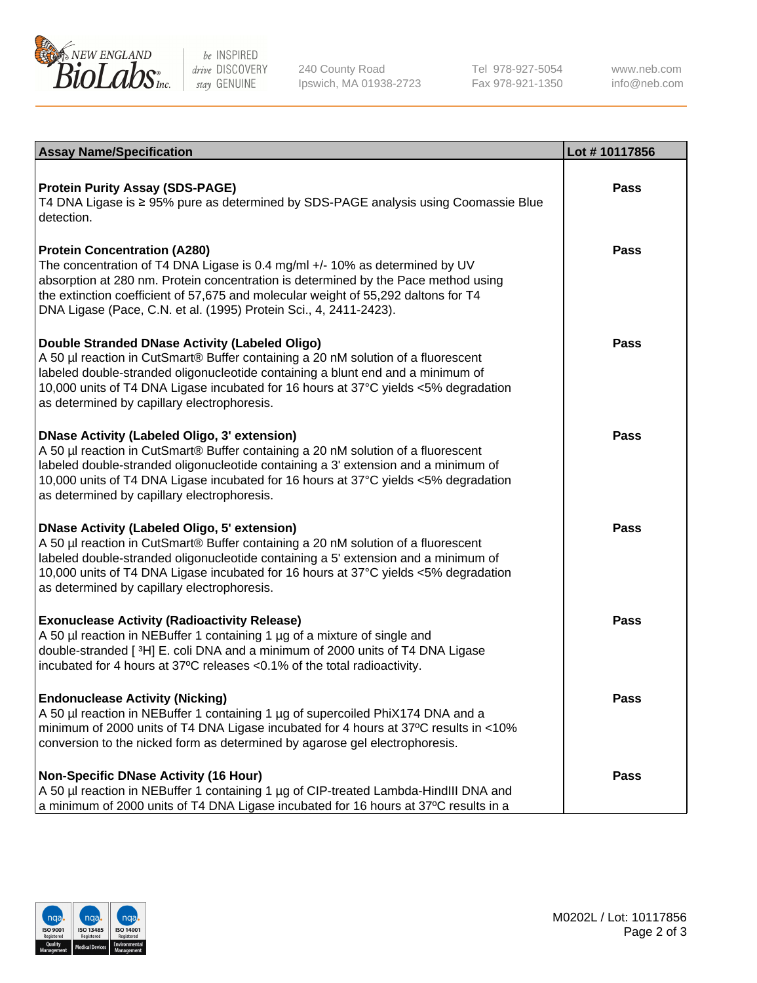

be INSPIRED drive DISCOVERY stay GENUINE

240 County Road Ipswich, MA 01938-2723 Tel 978-927-5054 Fax 978-921-1350

www.neb.com info@neb.com

| <b>Assay Name/Specification</b>                                                                                                                                                                                                                                                                                                                                      | Lot #10117856 |
|----------------------------------------------------------------------------------------------------------------------------------------------------------------------------------------------------------------------------------------------------------------------------------------------------------------------------------------------------------------------|---------------|
| <b>Protein Purity Assay (SDS-PAGE)</b><br>T4 DNA Ligase is ≥ 95% pure as determined by SDS-PAGE analysis using Coomassie Blue<br>detection.                                                                                                                                                                                                                          | <b>Pass</b>   |
| <b>Protein Concentration (A280)</b><br>The concentration of T4 DNA Ligase is 0.4 mg/ml +/- 10% as determined by UV<br>absorption at 280 nm. Protein concentration is determined by the Pace method using<br>the extinction coefficient of 57,675 and molecular weight of 55,292 daltons for T4<br>DNA Ligase (Pace, C.N. et al. (1995) Protein Sci., 4, 2411-2423).  | <b>Pass</b>   |
| Double Stranded DNase Activity (Labeled Oligo)<br>A 50 µl reaction in CutSmart® Buffer containing a 20 nM solution of a fluorescent<br>labeled double-stranded oligonucleotide containing a blunt end and a minimum of<br>10,000 units of T4 DNA Ligase incubated for 16 hours at 37°C yields <5% degradation<br>as determined by capillary electrophoresis.         | <b>Pass</b>   |
| <b>DNase Activity (Labeled Oligo, 3' extension)</b><br>A 50 µl reaction in CutSmart® Buffer containing a 20 nM solution of a fluorescent<br>labeled double-stranded oligonucleotide containing a 3' extension and a minimum of<br>10,000 units of T4 DNA Ligase incubated for 16 hours at 37°C yields <5% degradation<br>as determined by capillary electrophoresis. | Pass          |
| <b>DNase Activity (Labeled Oligo, 5' extension)</b><br>A 50 µl reaction in CutSmart® Buffer containing a 20 nM solution of a fluorescent<br>labeled double-stranded oligonucleotide containing a 5' extension and a minimum of<br>10,000 units of T4 DNA Ligase incubated for 16 hours at 37°C yields <5% degradation<br>as determined by capillary electrophoresis. | Pass          |
| <b>Exonuclease Activity (Radioactivity Release)</b><br>A 50 µl reaction in NEBuffer 1 containing 1 µg of a mixture of single and<br>double-stranded [3H] E. coli DNA and a minimum of 2000 units of T4 DNA Ligase<br>incubated for 4 hours at 37°C releases <0.1% of the total radioactivity.                                                                        | Pass          |
| <b>Endonuclease Activity (Nicking)</b><br>A 50 µl reaction in NEBuffer 1 containing 1 µg of supercoiled PhiX174 DNA and a<br>minimum of 2000 units of T4 DNA Ligase incubated for 4 hours at 37°C results in <10%<br>conversion to the nicked form as determined by agarose gel electrophoresis.                                                                     | Pass          |
| <b>Non-Specific DNase Activity (16 Hour)</b><br>A 50 µl reaction in NEBuffer 1 containing 1 µg of CIP-treated Lambda-HindIII DNA and<br>a minimum of 2000 units of T4 DNA Ligase incubated for 16 hours at 37°C results in a                                                                                                                                         | <b>Pass</b>   |